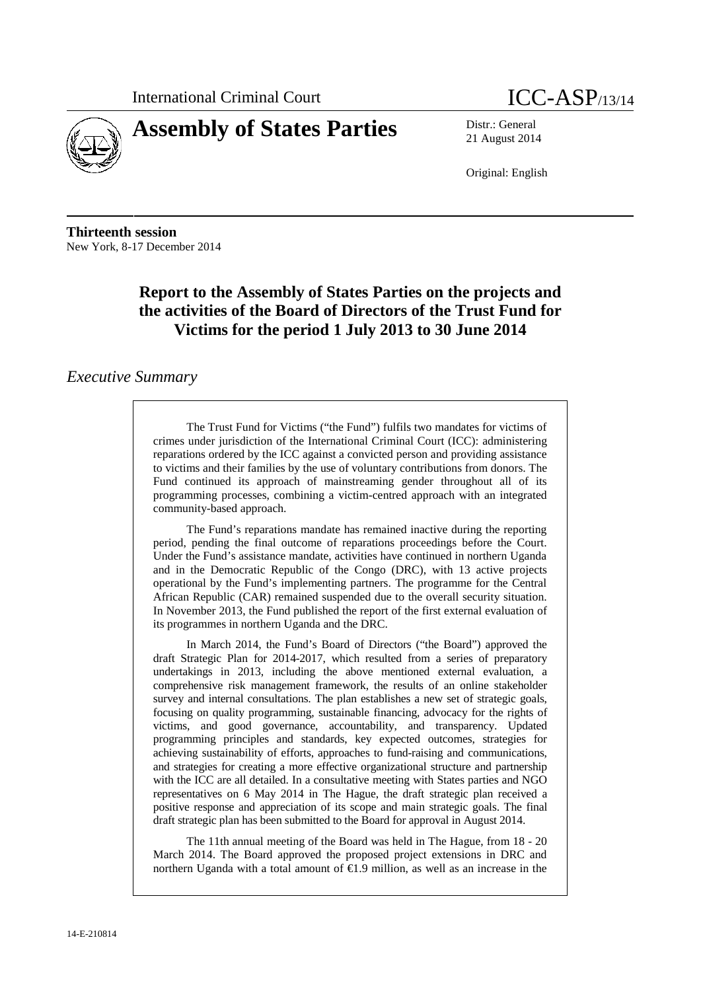



21 August 2014

Original: English

**Thirteenth session** New York, 8-17 December 2014

# **Report to the Assembly of States Parties on the projects and the activities of the Board of Directors of the Trust Fund for Victims for the period 1 July 2013 to 30 June 2014**

### *Executive Summary*

The Trust Fund for Victims ("the Fund") fulfils two mandates for victims of crimes under jurisdiction of the International Criminal Court (ICC): administering reparations ordered by the ICC against a convicted person and providing assistance to victims and their families by the use of voluntary contributions from donors. The Fund continued its approach of mainstreaming gender throughout all of its programming processes, combining a victim-centred approach with an integrated community-based approach.

The Fund's reparations mandate has remained inactive during the reporting period, pending the final outcome of reparations proceedings before the Court. Under the Fund's assistance mandate, activities have continued in northern Uganda and in the Democratic Republic of the Congo (DRC), with 13 active projects operational by the Fund's implementing partners. The programme for the Central African Republic (CAR) remained suspended due to the overall security situation. In November 2013, the Fund published the report of the first external evaluation of its programmes in northern Uganda and the DRC.

In March 2014, the Fund's Board of Directors ("the Board") approved the draft Strategic Plan for 2014-2017, which resulted from a series of preparatory undertakings in 2013, including the above mentioned external evaluation, a comprehensive risk management framework, the results of an online stakeholder survey and internal consultations. The plan establishes a new set of strategic goals, focusing on quality programming, sustainable financing, advocacy for the rights of victims, and good governance, accountability, and transparency. Updated programming principles and standards, key expected outcomes, strategies for achieving sustainability of efforts, approaches to fund-raising and communications, and strategies for creating a more effective organizational structure and partnership with the ICC are all detailed. In a consultative meeting with States parties and NGO representatives on 6 May 2014 in The Hague, the draft strategic plan received a positive response and appreciation of its scope and main strategic goals. The final draft strategic plan has been submitted to the Board for approval in August 2014.

The 11th annual meeting of the Board was held in The Hague, from 18 - 20 March 2014. The Board approved the proposed project extensions in DRC and northern Uganda with a total amount of  $\bigoplus$ .9 million, as well as an increase in the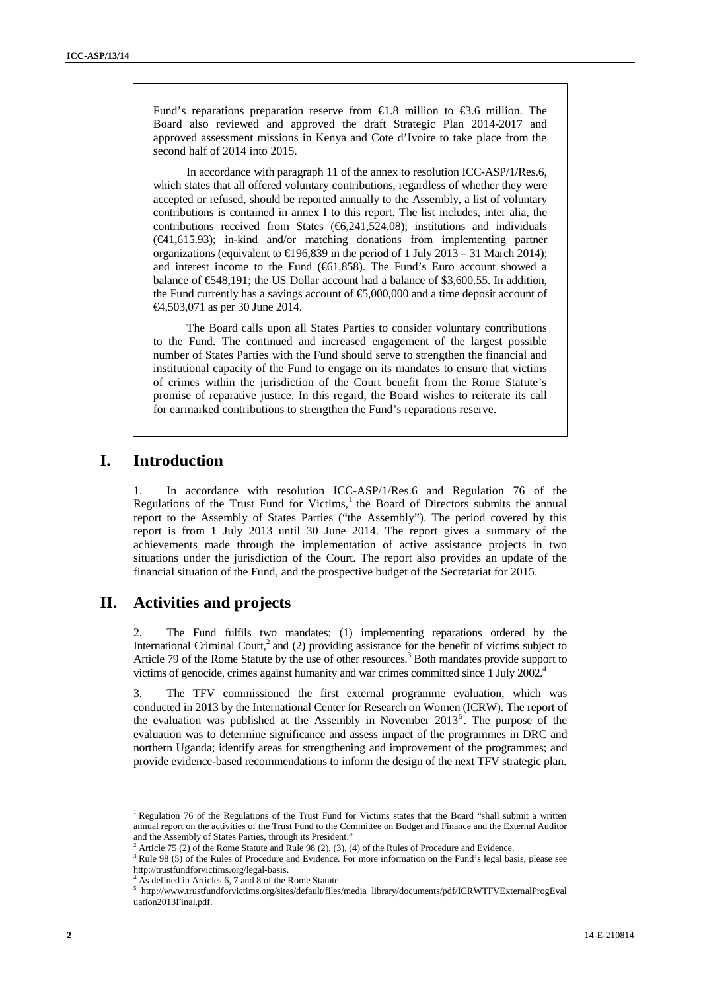Fund's reparations preparation reserve from  $\bigoplus$ .8 million to  $\bigoplus$ .6 million. The Board also reviewed and approved the draft Strategic Plan 2014-2017 and approved assessment missions in Kenya and Cote d'Ivoire to take place from the second half of 2014 into 2015.

Finally, responsion programation enter from 0.2 colliders of the finally interest in the state of the state of the state of the state of the state of the state of the state of the state of the state of the state of the st In accordance with paragraph 11 of the annex to resolution ICC-ASP/1/Res.6, which states that all offered voluntary contributions, regardless of whether they were accepted or refused, should be reported annually to the Assembly, a list of voluntary contributions is contained in annex I to this report. The list includes, inter alia, the contributions received from States  $(66,241,524.08)$ ; institutions and individuals  $(\text{ } \in \{1,615.93\};$  in-kind and/or matching donations from implementing partner organizations (equivalent to  $\in$  96,839 in the period of 1 July 2013 – 31 March 2014); and interest income to the Fund  $(661,858)$ . The Fund's Euro account showed a balance of  $\mathfrak{S}48,191$ ; the US Dollar account had a balance of \$3,600.55. In addition, the Fund currently has a savings account of €5,000,000 and a time deposit account of €4,503,071 as per 30 June 2014.

The Board calls upon all States Parties to consider voluntary contributions to the Fund. The continued and increased engagement of the largest possible number of States Parties with the Fund should serve to strengthen the financial and institutional capacity of the Fund to engage on its mandates to ensure that victims of crimes within the jurisdiction of the Court benefit from the Rome Statute's promise of reparative justice. In this regard, the Board wishes to reiterate its call for earmarked contributions to strengthen the Fund's reparations reserve.

### **I. Introduction**

1. In accordance with resolution ICC-ASP/1/Res.6 and Regulation 76 of the Regulations of the Trust Fund for Victims,<sup>1</sup> the Board of Directors submits the annual report to the Assembly of States Parties ("the Assembly"). The period covered by this report is from 1 July 2013 until 30 June 2014. The report gives a summary of the achievements made through the implementation of active assistance projects in two situations under the jurisdiction of the Court. The report also provides an update of the financial situation of the Fund, and the prospective budget of the Secretariat for 2015.

### **II. Activities and projects**

2. The Fund fulfils two mandates: (1) implementing reparations ordered by the International Criminal Court,<sup>2</sup> and (2) providing assistance for the benefit of victims subject to Article 79 of the Rome Statute by the use of other resources.<sup>3</sup> Both mandates provide support to victims of genocide, crimes against humanity and war crimes committed since 1 July 2002.

3. The TFV commissioned the first external programme evaluation, which was conducted in 2013 by the International Center for Research on Women (ICRW). The report of the evaluation was published at the Assembly in November 2013<sup>5</sup>. The purpose of the evaluation was to determine significance and assess impact of the programmes in DRC and northern Uganda; identify areas for strengthening and improvement of the programmes; and provide evidence-based recommendations to inform the design of the next TFV strategic plan.

<sup>&</sup>lt;sup>1</sup> Regulation 76 of the Regulations of the Trust Fund for Victims states that the Board "shall submit a written annual report on the activities of the Trust Fund to the Committee on Budget and Finance and the External Auditor and the Assembly of States Parties, through its President."

 $2$  Article 75 (2) of the Rome Statute and Rule 98 (2), (3), (4) of the Rules of Procedure and Evidence.

<sup>&</sup>lt;sup>3</sup> Rule 98 (5) of the Rules of Procedure and Evidence. For more information on the Fund's legal basis, please see http://trustfundforvictims.org/legal-basis.

As defined in Articles 6, 7 and 8 of the Rome Statute.

 $^5\,$ http://www.trustfundforvictims.org/sites/default/files/media\_library/documents/pdf/ICRWTFVExternalProgEval uation2013Final.pdf.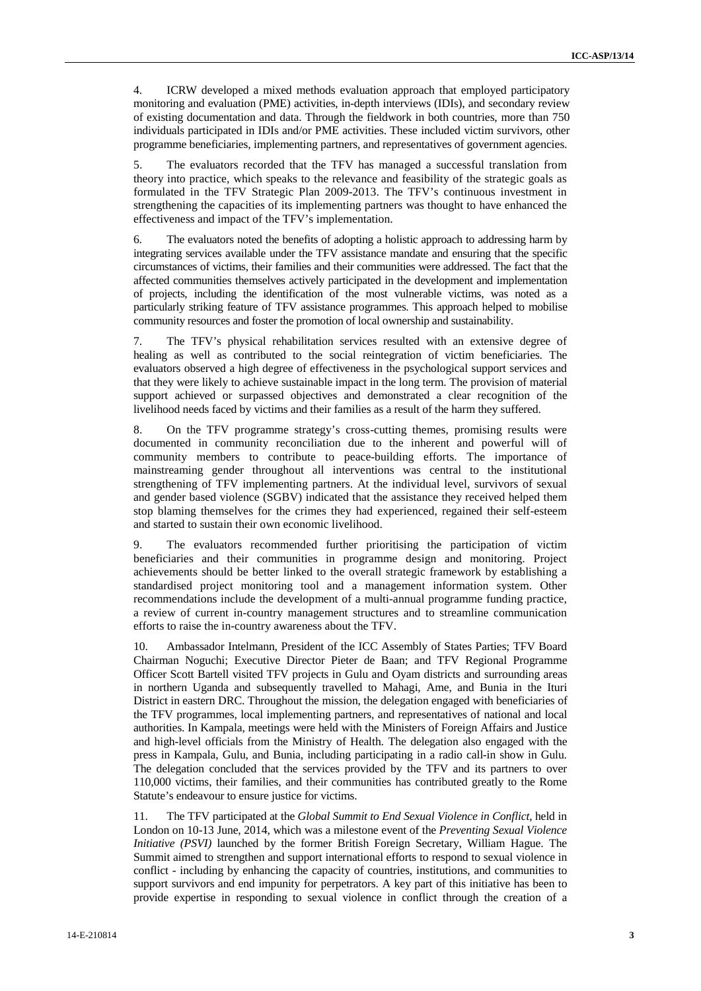4. ICRW developed a mixed methods evaluation approach that employed participatory monitoring and evaluation (PME) activities, in-depth interviews (IDIs), and secondary review of existing documentation and data. Through the fieldwork in both countries, more than 750 individuals participated in IDIs and/or PME activities. These included victim survivors, other programme beneficiaries, implementing partners, and representatives of government agencies.

5. The evaluators recorded that the TFV has managed a successful translation from theory into practice, which speaks to the relevance and feasibility of the strategic goals as formulated in the TFV Strategic Plan 2009-2013. The TFV's continuous investment in strengthening the capacities of its implementing partners was thought to have enhanced the effectiveness and impact of the TFV's implementation.

6. The evaluators noted the benefits of adopting a holistic approach to addressing harm by integrating services available under the TFV assistance mandate and ensuring that the specific circumstances of victims, their families and their communities were addressed. The fact that the affected communities themselves actively participated in the development and implementation of projects, including the identification of the most vulnerable victims, was noted as a particularly striking feature of TFV assistance programmes. This approach helped to mobilise community resources and foster the promotion of local ownership and sustainability.

7. The TFV's physical rehabilitation services resulted with an extensive degree of healing as well as contributed to the social reintegration of victim beneficiaries. The evaluators observed a high degree of effectiveness in the psychological support services and that they were likely to achieve sustainable impact in the long term. The provision of material support achieved or surpassed objectives and demonstrated a clear recognition of the livelihood needs faced by victims and their families as a result of the harm they suffered.

8. On the TFV programme strategy's cross-cutting themes, promising results were documented in community reconciliation due to the inherent and powerful will of community members to contribute to peace-building efforts. The importance of mainstreaming gender throughout all interventions was central to the institutional strengthening of TFV implementing partners. At the individual level, survivors of sexual and gender based violence (SGBV) indicated that the assistance they received helped them stop blaming themselves for the crimes they had experienced, regained their self-esteem and started to sustain their own economic livelihood.

9. The evaluators recommended further prioritising the participation of victim beneficiaries and their communities in programme design and monitoring. Project achievements should be better linked to the overall strategic framework by establishing a standardised project monitoring tool and a management information system. Other recommendations include the development of a multi-annual programme funding practice, a review of current in-country management structures and to streamline communication efforts to raise the in-country awareness about the TFV.

4 KBV develops a crisisd method, readining aspectas that employed participates respectively. The case of the case of the case of the case of the case of the case of the case of the case of the case of the case of the case 10. Ambassador Intelmann, President of the ICC Assembly of States Parties; TFV Board Chairman Noguchi; Executive Director Pieter de Baan; and TFV Regional Programme Officer Scott Bartell visited TFV projects in Gulu and Oyam districts and surrounding areas in northern Uganda and subsequently travelled to Mahagi, Ame, and Bunia in the Ituri District in eastern DRC. Throughout the mission, the delegation engaged with beneficiaries of the TFV programmes, local implementing partners, and representatives of national and local authorities. In Kampala, meetings were held with the Ministers of Foreign Affairs and Justice and high-level officials from the Ministry of Health. The delegation also engaged with the press in Kampala, Gulu, and Bunia, including participating in a radio call-in show in Gulu. The delegation concluded that the services provided by the TFV and its partners to over 110,000 victims, their families, and their communities has contributed greatly to the Rome Statute's endeavour to ensure justice for victims.

11. The TFV participated at the *Global Summit to End Sexual Violence in Conflict*, held in London on 10-13 June, 2014, which was a milestone event of the *Preventing Sexual Violence Initiative (PSVI)* launched by the former British Foreign Secretary, William Hague. The Summit aimed to strengthen and support international efforts to respond to sexual violence in conflict - including by enhancing the capacity of countries, institutions, and communities to support survivors and end impunity for perpetrators. A key part of this initiative has been to provide expertise in responding to sexual violence in conflict through the creation of a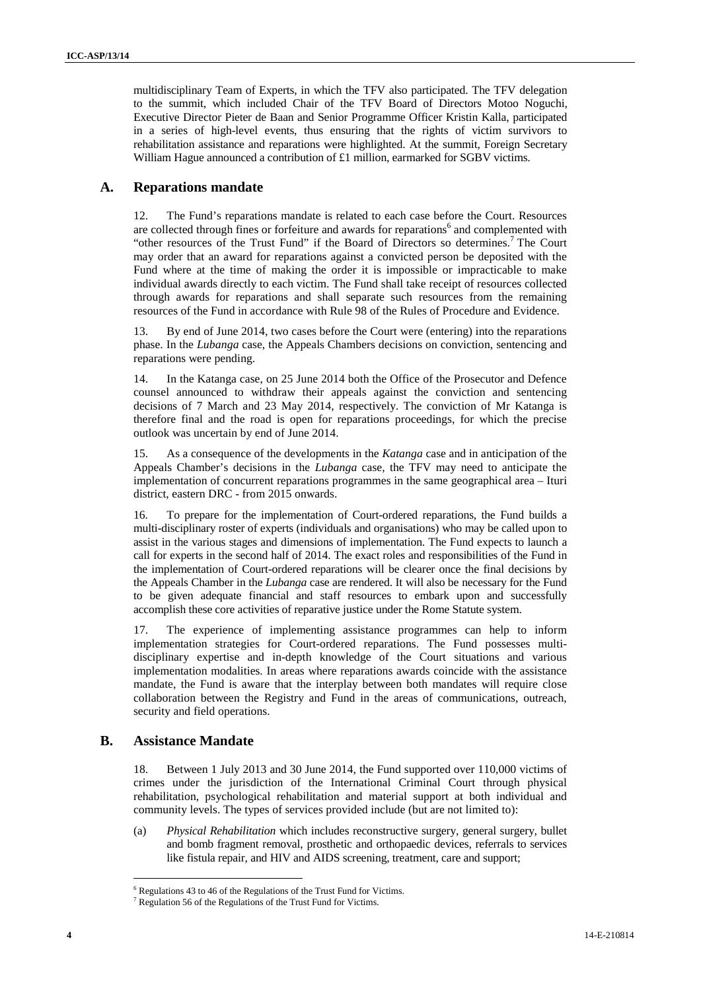multidisciplinary Team of Experts, in which the TFV also participated. The TFV delegation <sup>4</sup> to the summit, which included Chair of the TFV Board of Directors Motoo Noguchi, Executive Director Pieter de Baan and Senior Programme Officer Kristin Kalla, participated in a series of high-level events, thus ensuring that the rights of victim survivors to rehabilitation assistance and reparations were highlighted. At the summit, Foreign Secretary William Hague announced a contribution of £1 million, earmarked for SGBV victims.

### **A. Reparations mandate**

**Excellision from of Experimental in which the TVV also participates. The VV also participates in the control of the control of the C-21081-12 ICC-ASP/9/2014 ICC-ASP/9/2014 ICC-ASP/9/2014 ICC-ASP/9/2014 ICC-ASP/9/2014 ICC** 12. The Fund's reparations mandate is related to each case before the Court. Resources are collected through fines or forfeiture and awards for reparations<sup>6</sup> and complemented with "other resources of the Trust Fund" if the Board of Directors so determines.<sup>7</sup> The Court may order that an award for reparations against a convicted person be deposited with the Fund where at the time of making the order it is impossible or impracticable to make individual awards directly to each victim. The Fund shall take receipt of resources collected through awards for reparations and shall separate such resources from the remaining resources of the Fund in accordance with Rule 98 of the Rules of Procedure and Evidence.

13. By end of June 2014, two cases before the Court were (entering) into the reparations phase. In the *Lubanga* case, the Appeals Chambers decisions on conviction, sentencing and reparations were pending.

14. In the Katanga case, on 25 June 2014 both the Office of the Prosecutor and Defence counsel announced to withdraw their appeals against the conviction and sentencing decisions of 7 March and 23 May 2014, respectively. The conviction of Mr Katanga is therefore final and the road is open for reparations proceedings, for which the precise outlook was uncertain by end of June 2014.

15. As a consequence of the developments in the *Katanga* case and in anticipation of the Appeals Chamber's decisions in the *Lubanga* case, the TFV may need to anticipate the implementation of concurrent reparations programmes in the same geographical area – Ituri district, eastern DRC - from 2015 onwards.

16. To prepare for the implementation of Court-ordered reparations, the Fund builds a multi-disciplinary roster of experts (individuals and organisations) who may be called upon to assist in the various stages and dimensions of implementation. The Fund expects to launch a call for experts in the second half of 2014. The exact roles and responsibilities of the Fund in the implementation of Court-ordered reparations will be clearer once the final decisions by the Appeals Chamber in the *Lubanga* case are rendered. It will also be necessary for the Fund to be given adequate financial and staff resources to embark upon and successfully accomplish these core activities of reparative justice under the Rome Statute system.

17. The experience of implementing assistance programmes can help to inform implementation strategies for Court-ordered reparations. The Fund possesses multi disciplinary expertise and in-depth knowledge of the Court situations and various implementation modalities. In areas where reparations awards coincide with the assistance mandate, the Fund is aware that the interplay between both mandates will require close collaboration between the Registry and Fund in the areas of communications, outreach, security and field operations.

### **B. Assistance Mandate**

18. Between 1 July 2013 and 30 June 2014, the Fund supported over 110,000 victims of crimes under the jurisdiction of the International Criminal Court through physical rehabilitation, psychological rehabilitation and material support at both individual and community levels. The types of services provided include (but are not limited to):

(a) *Physical Rehabilitation* which includes reconstructive surgery, general surgery, bullet and bomb fragment removal, prosthetic and orthopaedic devices, referrals to services like fistula repair, and HIV and AIDS screening, treatment, care and support;

 $^6$  Regulations 43 to 46 of the Regulations of the Trust Fund for Victims.<br><sup>7</sup> Regulation 56 of the Regulations of the Trust Fund for Victims.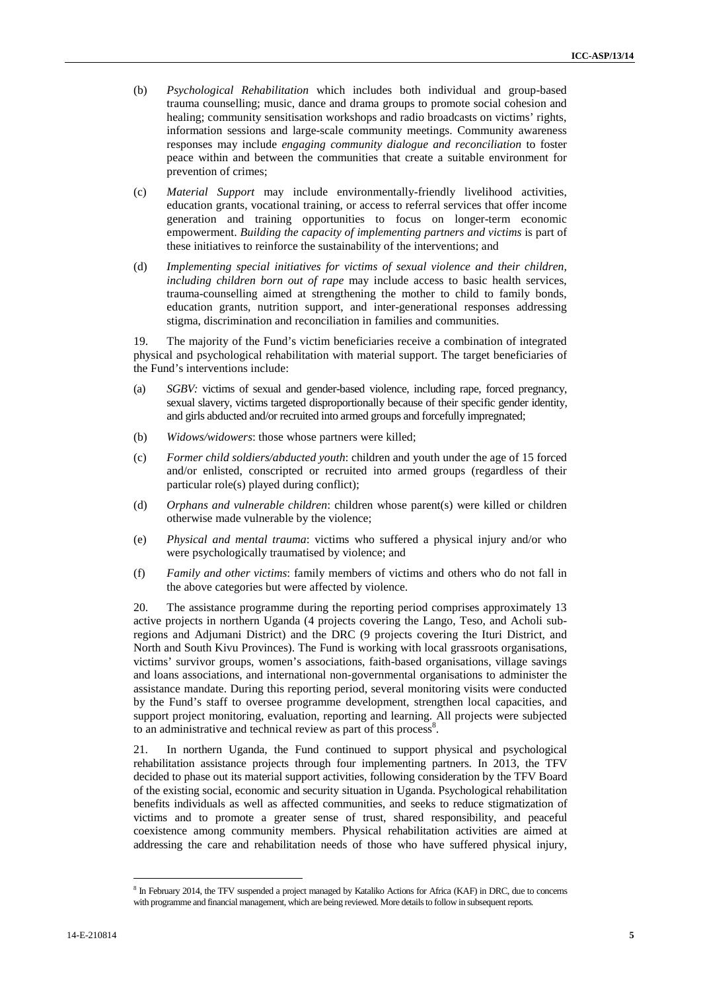- (b) *Psychological Rehabilitation* which includes both individual and group-based trauma counselling; music, dance and drama groups to promote social cohesion and healing; community sensitisation workshops and radio broadcasts on victims' rights, information sessions and large-scale community meetings. Community awareness responses may include *engaging community dialogue and reconciliation* to foster peace within and between the communities that create a suitable environment for prevention of crimes;
- (c) *Material Support* may include environmentally-friendly livelihood activities, education grants, vocational training, or access to referral services that offer income generation and training opportunities to focus on longer-term economic empowerment. *Building the capacity of implementing partners and victims* is part of these initiatives to reinforce the sustainability of the interventions; and
- (d) *Implementing special initiatives for victims of sexual violence and their children, including children born out of rape* may include access to basic health services, trauma-counselling aimed at strengthening the mother to child to family bonds, education grants, nutrition support, and inter-generational responses addressing stigma, discrimination and reconciliation in families and communities.

19. The majority of the Fund's victim beneficiaries receive a combination of integrated physical and psychological rehabilitation with material support. The target beneficiaries of the Fund's interventions include:

- (a) *SGBV:* victims of sexual and gender-based violence, including rape, forced pregnancy, sexual slavery, victims targeted disproportionally because of their specific gender identity, and girls abducted and/or recruited into armed groups and forcefully impregnated;
- (b) *Widows/widowers*: those whose partners were killed;
- (c) *Former child soldiers/abducted youth*: children and youth under the age of 15 forced and/or enlisted, conscripted or recruited into armed groups (regardless of their particular role(s) played during conflict);
- (d) *Orphans and vulnerable children*: children whose parent(s) were killed or children otherwise made vulnerable by the violence;
- (e) *Physical and mental trauma*: victims who suffered a physical injury and/or who were psychologically traumatised by violence; and
- (f) *Family and other victims*: family members of victims and others who do not fall in the above categories but were affected by violence.

(b) *Freehological Robubless* weight includes bink individual and goop based<br>
themes consistent procedure and show the state going to the consistent of the state going of the state going of the state going of the state go 20. The assistance programme during the reporting period comprises approximately 13 active projects in northern Uganda (4 projects covering the Lango, Teso, and Acholi subregions and Adjumani District) and the DRC (9 projects covering the Ituri District, and North and South Kivu Provinces). The Fund is working with local grassroots organisations, victims' survivor groups, women's associations, faith-based organisations, village savings and loans associations, and international non-governmental organisations to administer the assistance mandate. During this reporting period, several monitoring visits were conducted by the Fund's staff to oversee programme development, strengthen local capacities, and support project monitoring, evaluation, reporting and learning. All projects were subjected to an administrative and technical review as part of this process<sup>8</sup>.

21. In northern Uganda, the Fund continued to support physical and psychological rehabilitation assistance projects through four implementing partners. In 2013, the TFV decided to phase out its material support activities, following consideration by the TFV Board of the existing social, economic and security situation in Uganda. Psychological rehabilitation benefits individuals as well as affected communities, and seeks to reduce stigmatization of victims and to promote a greater sense of trust, shared responsibility, and peaceful coexistence among community members. Physical rehabilitation activities are aimed at addressing the care and rehabilitation needs of those who have suffered physical injury,

<sup>&</sup>lt;sup>8</sup> In February 2014, the TFV suspended a project managed by Kataliko Actions for Africa (KAF) in DRC, due to concerns with programme and financial management, which are being reviewed. More details to follow in subsequent reports.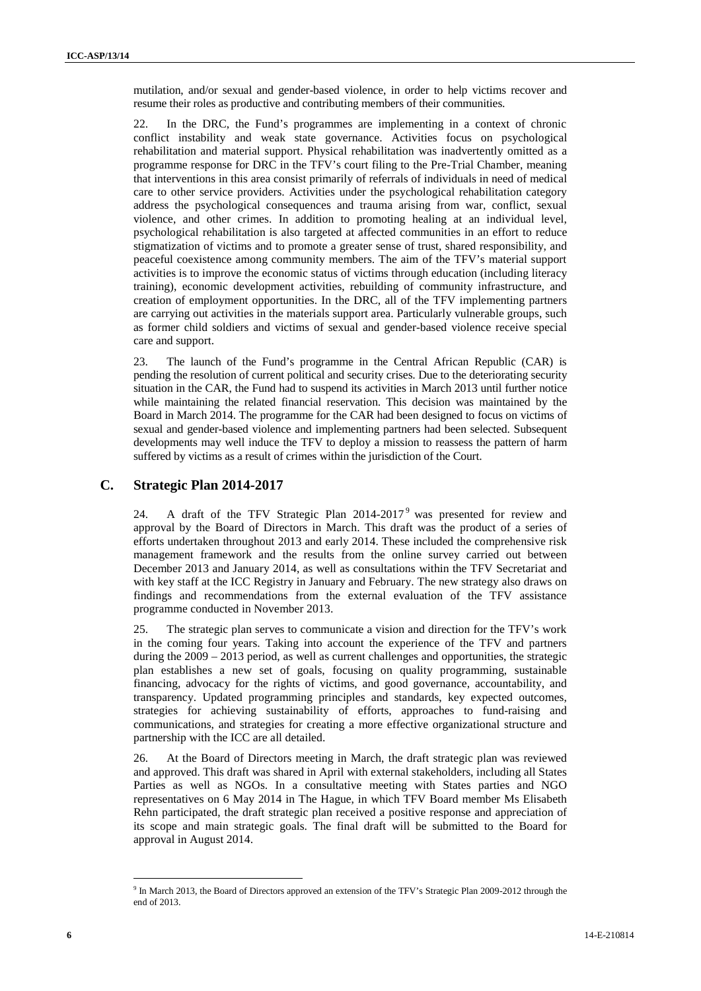mutilation, and/or sexual and gender-based violence, in order to help victims recover and resume their roles as productive and contributing members of their communities.

**Excelsion,** analog and its genus hat peak valued violence, in order to hap victime receives and<br>restrict the relations of the control of the control of the control of the control of the control of the control of the cont 22. In the DRC, the Fund's programmes are implementing in a context of chronic conflict instability and weak state governance. Activities focus on psychological rehabilitation and material support. Physical rehabilitation was inadvertently omitted as a programme response for DRC in the TFV's court filing to the Pre-Trial Chamber, meaning that interventions in this area consist primarily of referrals of individuals in need of medical care to other service providers. Activities under the psychological rehabilitation category address the psychological consequences and trauma arising from war, conflict, sexual violence, and other crimes. In addition to promoting healing at an individual level, psychological rehabilitation is also targeted at affected communities in an effort to reduce stigmatization of victims and to promote a greater sense of trust, shared responsibility, and peaceful coexistence among community members. The aim of the TFV's material support activities is to improve the economic status of victims through education (including literacy training), economic development activities, rebuilding of community infrastructure, and creation of employment opportunities. In the DRC, all of the TFV implementing partners are carrying out activities in the materials support area. Particularly vulnerable groups, such as former child soldiers and victims of sexual and gender-based violence receive special care and support.

23. The launch of the Fund's programme in the Central African Republic (CAR) is pending the resolution of current political and security crises. Due to the deteriorating security situation in the CAR, the Fund had to suspend its activities in March 2013 until further notice while maintaining the related financial reservation. This decision was maintained by the Board in March 2014. The programme for the CAR had been designed to focus on victims of sexual and gender-based violence and implementing partners had been selected. Subsequent developments may well induce the TFV to deploy a mission to reassess the pattern of harm suffered by victims as a result of crimes within the jurisdiction of the Court.

### **C. Strategic Plan 2014-2017**

24. A draft of the TFV Strategic Plan  $2014-2017<sup>9</sup>$  was presented for review and approval by the Board of Directors in March. This draft was the product of a series of efforts undertaken throughout 2013 and early 2014. These included the comprehensive risk management framework and the results from the online survey carried out between December 2013 and January 2014, as well as consultations within the TFV Secretariat and with key staff at the ICC Registry in January and February. The new strategy also draws on findings and recommendations from the external evaluation of the TFV assistance programme conducted in November 2013.

25. The strategic plan serves to communicate a vision and direction for the TFV's work in the coming four years. Taking into account the experience of the TFV and partners during the 2009 – 2013 period, as well as current challenges and opportunities, the strategic plan establishes a new set of goals, focusing on quality programming, sustainable financing, advocacy for the rights of victims, and good governance, accountability, and transparency. Updated programming principles and standards, key expected outcomes, strategies for achieving sustainability of efforts, approaches to fund-raising and communications, and strategies for creating a more effective organizational structure and partnership with the ICC are all detailed.

26. At the Board of Directors meeting in March, the draft strategic plan was reviewed and approved. This draft was shared in April with external stakeholders, including all States Parties as well as NGOs. In a consultative meeting with States parties and NGO representatives on 6 May 2014 in The Hague, in which TFV Board member Ms Elisabeth Rehn participated, the draft strategic plan received a positive response and appreciation of its scope and main strategic goals. The final draft will be submitted to the Board for approval in August 2014.

<sup>&</sup>lt;sup>9</sup> In March 2013, the Board of Directors approved an extension of the TFV's Strategic Plan 2009-2012 through the end of 2013.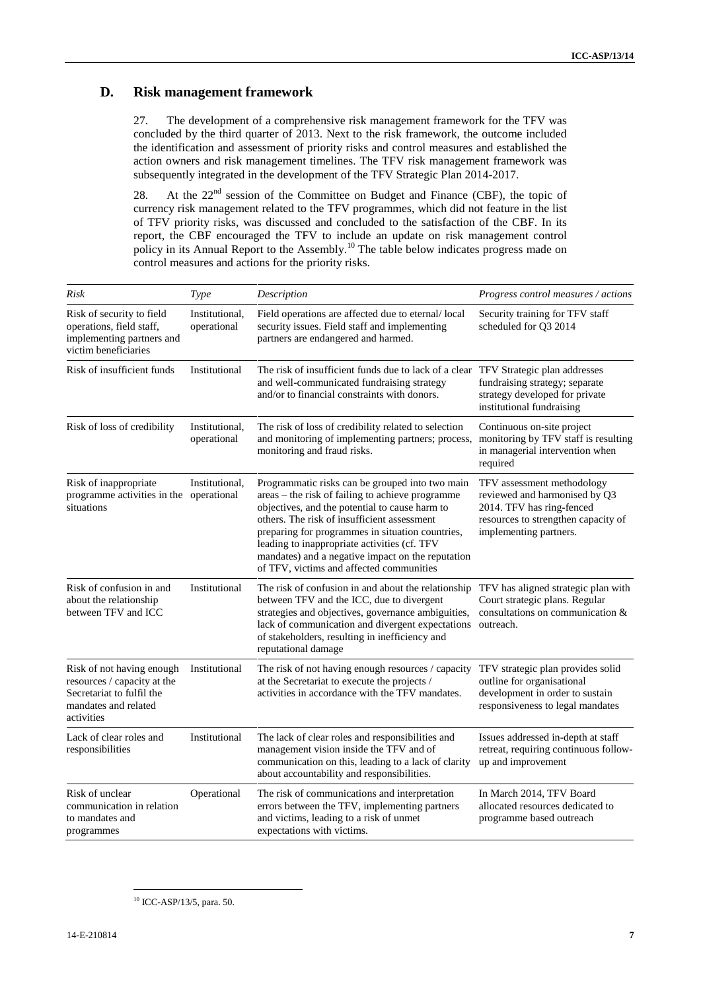### **D. Risk management framework**

| D.                                                                                                                          | <b>Risk management framework</b>      |                                                                                                                                                                                                                                                                                                                                                                                                                                                                                                                                                                                                                                                                                                                                                                                                                                                                                                                                                                                                  |                                                                                                                                                           |
|-----------------------------------------------------------------------------------------------------------------------------|---------------------------------------|--------------------------------------------------------------------------------------------------------------------------------------------------------------------------------------------------------------------------------------------------------------------------------------------------------------------------------------------------------------------------------------------------------------------------------------------------------------------------------------------------------------------------------------------------------------------------------------------------------------------------------------------------------------------------------------------------------------------------------------------------------------------------------------------------------------------------------------------------------------------------------------------------------------------------------------------------------------------------------------------------|-----------------------------------------------------------------------------------------------------------------------------------------------------------|
| 27.<br>28.                                                                                                                  |                                       | The development of a comprehensive risk management framework for the TFV was<br>concluded by the third quarter of 2013. Next to the risk framework, the outcome included<br>the identification and assessment of priority risks and control measures and established the<br>action owners and risk management timelines. The TFV risk management framework was<br>subsequently integrated in the development of the TFV Strategic Plan 2014-2017.<br>At the 22 <sup>nd</sup> session of the Committee on Budget and Finance (CBF), the topic of<br>currency risk management related to the TFV programmes, which did not feature in the list<br>of TFV priority risks, was discussed and concluded to the satisfaction of the CBF. In its<br>report, the CBF encouraged the TFV to include an update on risk management control<br>policy in its Annual Report to the Assembly. <sup>10</sup> The table below indicates progress made on<br>control measures and actions for the priority risks. |                                                                                                                                                           |
| Risk                                                                                                                        | <b>Type</b>                           | Description                                                                                                                                                                                                                                                                                                                                                                                                                                                                                                                                                                                                                                                                                                                                                                                                                                                                                                                                                                                      | Progress control measures / actions                                                                                                                       |
| Risk of security to field<br>operations, field staff,<br>implementing partners and<br>victim beneficiaries                  | Institutional,<br>operational         | Field operations are affected due to eternal/local<br>security issues. Field staff and implementing<br>partners are endangered and harmed.                                                                                                                                                                                                                                                                                                                                                                                                                                                                                                                                                                                                                                                                                                                                                                                                                                                       | Security training for TFV staff<br>scheduled for Q3 2014                                                                                                  |
| Risk of insufficient funds                                                                                                  | Institutional                         | The risk of insufficient funds due to lack of a clear TFV Strategic plan addresses<br>and well-communicated fundraising strategy<br>and/or to financial constraints with donors.                                                                                                                                                                                                                                                                                                                                                                                                                                                                                                                                                                                                                                                                                                                                                                                                                 | fundraising strategy; separate<br>strategy developed for private<br>institutional fundraising                                                             |
| Risk of loss of credibility                                                                                                 | Institutional.<br>operational         | The risk of loss of credibility related to selection<br>and monitoring of implementing partners; process,<br>monitoring and fraud risks.                                                                                                                                                                                                                                                                                                                                                                                                                                                                                                                                                                                                                                                                                                                                                                                                                                                         | Continuous on-site project<br>monitoring by TFV staff is resulting<br>in managerial intervention when<br>required                                         |
| Risk of inappropriate<br>programme activities in the operational<br>situations                                              | Institutional,                        | Programmatic risks can be grouped into two main<br>areas - the risk of failing to achieve programme<br>objectives, and the potential to cause harm to<br>others. The risk of insufficient assessment<br>preparing for programmes in situation countries,<br>leading to inappropriate activities (cf. TFV<br>mandates) and a negative impact on the reputation<br>of TFV, victims and affected communities                                                                                                                                                                                                                                                                                                                                                                                                                                                                                                                                                                                        | TFV assessment methodology<br>reviewed and harmonised by Q3<br>2014. TFV has ring-fenced<br>resources to strengthen capacity of<br>implementing partners. |
| Risk of confusion in and<br>about the relationship<br>between TFV and ICC                                                   | Institutional                         | The risk of confusion in and about the relationship TFV has aligned strategic plan with<br>between TFV and the ICC, due to divergent<br>strategies and objectives, governance ambiguities,<br>lack of communication and divergent expectations outreach.<br>of stakeholders, resulting in inefficiency and<br>reputational damage                                                                                                                                                                                                                                                                                                                                                                                                                                                                                                                                                                                                                                                                | Court strategic plans. Regular<br>consultations on communication $\&$                                                                                     |
| Risk of not having enough<br>resources / capacity at the<br>Secretariat to fulfil the<br>mandates and related<br>activities | Institutional                         | The risk of not having enough resources / capacity<br>at the Secretariat to execute the projects /<br>activities in accordance with the TFV mandates.                                                                                                                                                                                                                                                                                                                                                                                                                                                                                                                                                                                                                                                                                                                                                                                                                                            | TFV strategic plan provides solid<br>outline for organisational<br>development in order to sustain<br>responsiveness to legal mandates                    |
| Lack of clear roles and<br>responsibilities                                                                                 | Institutional                         | The lack of clear roles and responsibilities and<br>management vision inside the TFV and of<br>communication on this, leading to a lack of clarity<br>about accountability and responsibilities.                                                                                                                                                                                                                                                                                                                                                                                                                                                                                                                                                                                                                                                                                                                                                                                                 | Issues addressed in-depth at staff<br>retreat, requiring continuous follow-<br>up and improvement                                                         |
| Risk of unclear<br>communication in relation<br>to mandates and<br>programmes                                               | Operational                           | The risk of communications and interpretation<br>errors between the TFV, implementing partners<br>and victims, leading to a risk of unmet<br>expectations with victims.                                                                                                                                                                                                                                                                                                                                                                                                                                                                                                                                                                                                                                                                                                                                                                                                                          | In March 2014, TFV Board<br>allocated resources dedicated to<br>programme based outreach                                                                  |
|                                                                                                                             | <sup>10</sup> ICC-ASP/13/5, para. 50. |                                                                                                                                                                                                                                                                                                                                                                                                                                                                                                                                                                                                                                                                                                                                                                                                                                                                                                                                                                                                  |                                                                                                                                                           |
| 14-E-210814                                                                                                                 |                                       |                                                                                                                                                                                                                                                                                                                                                                                                                                                                                                                                                                                                                                                                                                                                                                                                                                                                                                                                                                                                  | 7                                                                                                                                                         |

<sup>10</sup> ICC-ASP/13/5, para. 50.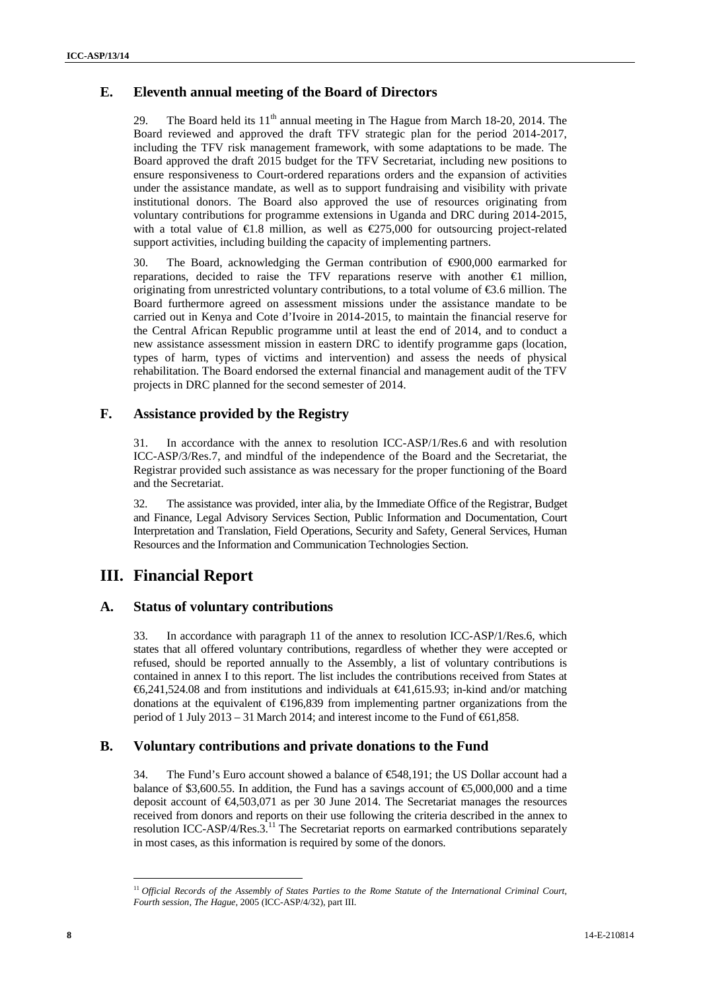### **E. Eleventh annual meeting of the Board of Directors**

29. The Board held its  $11<sup>th</sup>$  annual meeting in The Hague from March 18-20, 2014. The Board reviewed and approved the draft TFV strategic plan for the period 2014-2017, including the TFV risk management framework, with some adaptations to be made. The Board approved the draft 2015 budget for the TFV Secretariat, including new positions to ensure responsiveness to Court-ordered reparations orders and the expansion of activities under the assistance mandate, as well as to support fundraising and visibility with private institutional donors. The Board also approved the use of resources originating from voluntary contributions for programme extensions in Uganda and DRC during 2014-2015, with a total value of  $\bigoplus$ .8 million, as well as  $\bigoplus$ 75,000 for outsourcing project-related support activities, including building the capacity of implementing partners.

**E.** Eleventh annual meeting of the Board of Directors<br>
25 11: The board is the latter two maximizes in Table and the sheets is 32, 2016. The<br>
board reverse and approximate the sheet is the state is the sheet is 32, 2016. 30. The Board, acknowledging the German contribution of €900,000 earmarked for reparations, decided to raise the TFV reparations reserve with another €1 million, originating from unrestricted voluntary contributions, to a total volume of €3.6 million. The Board furthermore agreed on assessment missions under the assistance mandate to be carried out in Kenya and Cote d'Ivoire in 2014-2015, to maintain the financial reserve for the Central African Republic programme until at least the end of 2014, and to conduct a new assistance assessment mission in eastern DRC to identify programme gaps (location, types of harm, types of victims and intervention) and assess the needs of physical rehabilitation. The Board endorsed the external financial and management audit of the TFV projects in DRC planned for the second semester of 2014.

### **F. Assistance provided by the Registry**

31. In accordance with the annex to resolution ICC-ASP/1/Res.6 and with resolution ICC-ASP/3/Res.7, and mindful of the independence of the Board and the Secretariat, the Registrar provided such assistance as was necessary for the proper functioning of the Board and the Secretariat.

32. The assistance was provided, inter alia, by the Immediate Office of the Registrar, Budget and Finance, Legal Advisory Services Section, Public Information and Documentation, Court Interpretation and Translation, Field Operations, Security and Safety, General Services, Human Resources and the Information and Communication Technologies Section.

## **III. Financial Report**

### **A. Status of voluntary contributions**

33. In accordance with paragraph 11 of the annex to resolution ICC-ASP/1/Res.6, which states that all offered voluntary contributions, regardless of whether they were accepted or refused, should be reported annually to the Assembly, a list of voluntary contributions is contained in annex I to this report. The list includes the contributions received from States at  $\text{\textsterling}6,241,524.08$  and from institutions and individuals at  $\text{\textsterling}41,615.93$ ; in-kind and/or matching donations at the equivalent of  $\in \{96,839\}$  from implementing partner organizations from the period of 1 July 2013 – 31 March 2014; and interest income to the Fund of  $\epsilon$ 61,858.

### **B. Voluntary contributions and private donations to the Fund**

34. The Fund's Euro account showed a balance of €548,191; the US Dollar account had a balance of \$3,600.55. In addition, the Fund has a savings account of  $\epsilon$ 5,000,000 and a time deposit account of €4,503,071 as per 30 June 2014. The Secretariat manages the resources received from donors and reports on their use following the criteria described in the annex to resolution ICC-ASP/4/Res.3.<sup>11</sup> The Secretariat reports on earmarked contributions separately in most cases, as this information is required by some of the donors.

<sup>&</sup>lt;sup>11</sup> Official Records of the Assembly of States Parties to the Rome Statute of the International Criminal Court, *Fourth session, The Hague,* 2005 (ICC-ASP/4/32), part III.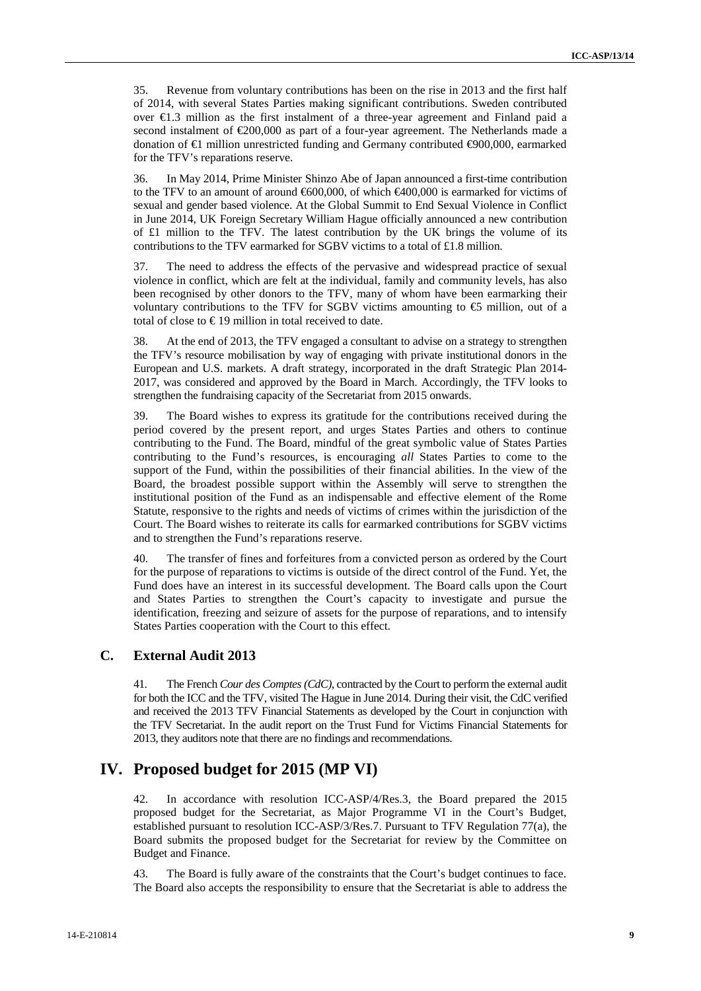35. Revenue from voluntary contributions has been on the rise in 2013 and the first half of 2014, with several States Parties making significant contributions. Sweden contributed over €1.3 million as the first instalment of a three-year agreement and Finland paid a second instalment of  $\epsilon 200,000$  as part of a four-year agreement. The Netherlands made a donation of €1 million unrestricted funding and Germany contributed €900,000, earmarked for the TFV's reparations reserve.

36. In May 2014, Prime Minister Shinzo Abe of Japan announced a first-time contribution to the TFV to an amount of around  $600,000$ , of which  $6400,000$  is earmarked for victims of sexual and gender based violence. At the Global Summit to End Sexual Violence in Conflict in June 2014, UK Foreign Secretary William Hague officially announced a new contribution of £1 million to the TFV. The latest contribution by the UK brings the volume of its contributions to the TFV earmarked for SGBV victims to a total of £1.8 million.

37. The need to address the effects of the pervasive and widespread practice of sexual violence in conflict, which are felt at the individual, family and community levels, has also been recognised by other donors to the TFV, many of whom have been earmarking their voluntary contributions to the TFV for SGBV victims amounting to  $\epsilon$  million, out of a total of close to  $\epsilon$ 19 million in total received to date.

38. At the end of 2013, the TFV engaged a consultant to advise on a strategy to strengthen the TFV's resource mobilisation by way of engaging with private institutional donors in the European and U.S. markets. A draft strategy, incorporated in the draft Strategic Plan 2014- 2017, was considered and approved by the Board in March. Accordingly, the TFV looks to strengthen the fundraising capacity of the Secretariat from 2015 onwards.

25. Revenue from volume contribution has been on the rise in 20.3 at the rise half of the rise in 20.4 at the rise in 20.4 at the rise in 20.4 at the rise in 20.4 at the rise in 20.4 at the rise in 20.4 at the rise in 20 39. The Board wishes to express its gratitude for the contributions received during the period covered by the present report, and urges States Parties and others to continue contributing to the Fund. The Board, mindful of the great symbolic value of States Parties contributing to the Fund's resources, is encouraging all States Parties to come to the support of the Fund, within the possibilities of their financial abilities. In the view of the Board, the broadest possible support within the Assembly will serve to strengthen the institutional position of the Fund as an indispensable and effective element of the Rome Statute, responsive to the rights and needs of victims of crimes within the jurisdiction of the Court. The Board wishes to reiterate its calls for earmarked contributions for SGBV victims and to strengthen the Fund's reparations reserve.

40. The transfer of fines and forfeitures from a convicted person as ordered by the Court for the purpose of reparations to victims is outside of the direct control of the Fund. Yet, the Fund does have an interest in its successful development. The Board calls upon the Court and States Parties to strengthen the Court's capacity to investigate and pursue the identification, freezing and seizure of assets for the purpose of reparations, and to intensify States Parties cooperation with the Court to this effect.

#### **C. External Audit 2013**

41. The French *Cour des Comptes (CdC)*, contracted by the Court to perform the external audit for both the ICC and the TFV, visited The Hague in June 2014. During their visit, the CdC verified and received the 2013 TFV Financial Statements as developed by the Court in conjunction with the TFV Secretariat. In the audit report on the Trust Fund for Victims Financial Statements for 2013, they auditors note that there are no findings and recommendations.

### **IV. Proposed budget for 2015 (MP VI)**

42. In accordance with resolution ICC-ASP/4/Res.3, the Board prepared the 2015 proposed budget for the Secretariat, as Major Programme VI in the Court's Budget, established pursuant to resolution ICC-ASP/3/Res.7. Pursuant to TFV Regulation 77(a), the Board submits the proposed budget for the Secretariat for review by the Committee on Budget and Finance.

43. The Board is fully aware of the constraints that the Court's budget continues to face. The Board also accepts the responsibility to ensure that the Secretariat is able to address the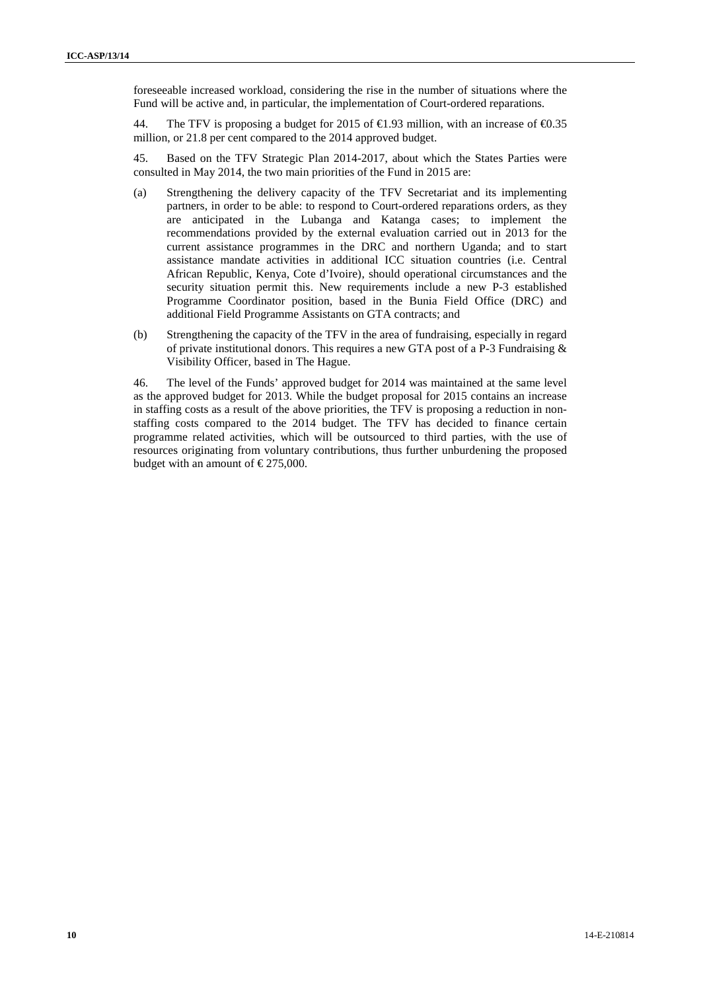foreseeable increased workload, considering the rise in the number of situations where the Fund will be active and, in particular, the implementation of Court-ordered reparations.

44. The TFV is proposing a budget for 2015 of  $\bigoplus$  9.93 million, with an increase of  $\bigoplus$  3.35 million, or 21.8 per cent compared to the 2014 approved budget.

45. Based on the TFV Strategic Plan 2014-2017, about which the States Parties were consulted in May 2014, the two main priorities of the Fund in 2015 are:

- **Internalis increased workload, considering the rise in the masker of visualisms where the best volt in consensus the masker of tance with the masker of tance with the second of the second of the second of the second of t** (a) Strengthening the delivery capacity of the TFV Secretariat and its implementing partners, in order to be able: to respond to Court-ordered reparations orders, as they are anticipated in the Lubanga and Katanga cases; to implement the recommendations provided by the external evaluation carried out in 2013 for the current assistance programmes in the DRC and northern Uganda; and to start assistance mandate activities in additional ICC situation countries (i.e. Central African Republic, Kenya, Cote d'Ivoire), should operational circumstances and the security situation permit this. New requirements include a new P-3 established Programme Coordinator position, based in the Bunia Field Office (DRC) and additional Field Programme Assistants on GTA contracts; and
	- (b) Strengthening the capacity of the TFV in the area of fundraising, especially in regard of private institutional donors. This requires a new GTA post of a P-3 Fundraising  $\&$ Visibility Officer, based in The Hague.

46. The level of the Funds' approved budget for 2014 was maintained at the same level as the approved budget for 2013. While the budget proposal for 2015 contains an increase in staffing costs as a result of the above priorities, the TFV is proposing a reduction in non staffing costs compared to the 2014 budget. The TFV has decided to finance certain programme related activities, which will be outsourced to third parties, with the use of resources originating from voluntary contributions, thus further unburdening the proposed budget with an amount of  $\text{\textsterling}275,000$ .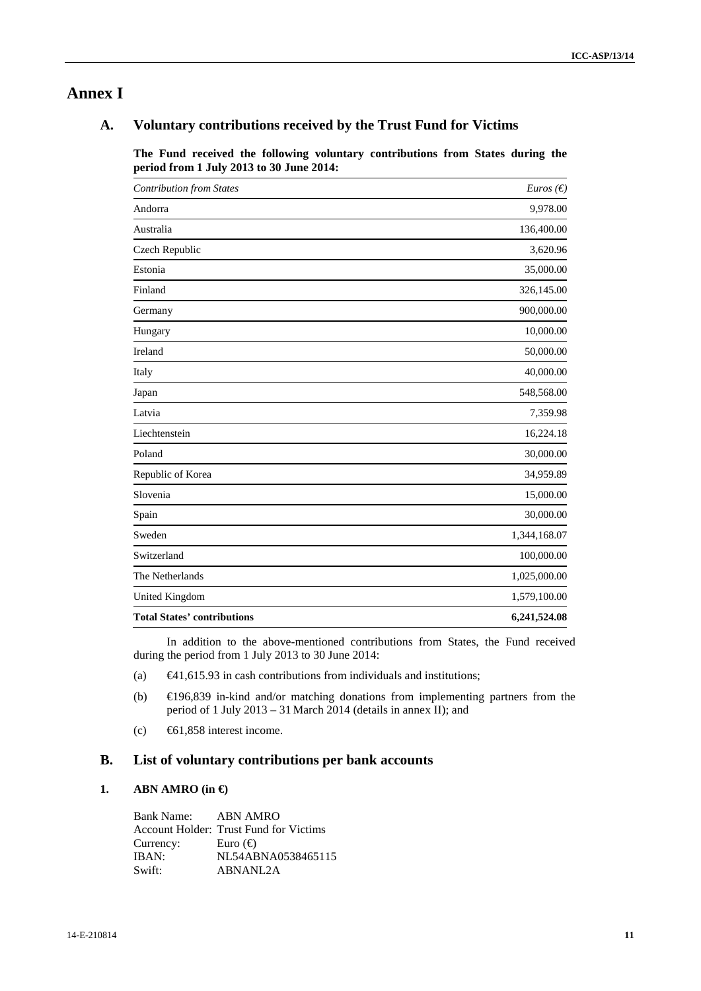## **Annex I**

### **A. Voluntary contributions received by the Trust Fund for Victims**

|             |                                                   | Voluntary contributions received by the Trust Fund for Victims                                                                                               |                        |
|-------------|---------------------------------------------------|--------------------------------------------------------------------------------------------------------------------------------------------------------------|------------------------|
|             |                                                   | The Fund received the following voluntary contributions from States during the<br>period from 1 July 2013 to 30 June 2014:                                   |                        |
|             | <b>Contribution from States</b>                   |                                                                                                                                                              | $Euros$ ( $\epsilon$ ) |
|             | Andorra                                           |                                                                                                                                                              | 9,978.00               |
|             | Australia                                         |                                                                                                                                                              | 136,400.00             |
|             | Czech Republic                                    |                                                                                                                                                              | 3,620.96               |
|             | Estonia                                           |                                                                                                                                                              | 35,000.00              |
|             | Finland                                           |                                                                                                                                                              | 326,145.00             |
|             | Germany                                           |                                                                                                                                                              | 900,000.00             |
|             | Hungary                                           |                                                                                                                                                              | 10,000.00              |
|             | Ireland                                           |                                                                                                                                                              | 50,000.00              |
|             | Italy                                             |                                                                                                                                                              | 40,000.00              |
|             | Japan                                             |                                                                                                                                                              | 548,568.00             |
|             | Latvia                                            |                                                                                                                                                              | 7,359.98               |
|             | Liechtenstein                                     |                                                                                                                                                              | 16,224.18              |
|             | Poland                                            |                                                                                                                                                              | 30,000.00              |
|             | Republic of Korea                                 |                                                                                                                                                              | 34,959.89              |
|             | Slovenia                                          |                                                                                                                                                              | 15,000.00              |
|             | Spain                                             |                                                                                                                                                              | 30,000.00              |
|             | Sweden                                            |                                                                                                                                                              | 1,344,168.07           |
|             | Switzerland                                       |                                                                                                                                                              | 100,000.00             |
|             | The Netherlands                                   |                                                                                                                                                              | 1,025,000.00           |
|             | <b>United Kingdom</b>                             |                                                                                                                                                              | 1,579,100.00           |
|             |                                                   | <b>Total States' contributions</b>                                                                                                                           | 6,241,524.08           |
|             |                                                   | In addition to the above-mentioned contributions from States, the Fund received<br>during the period from 1 July 2013 to 30 June 2014:                       |                        |
|             | (a)                                               | $\bigoplus$ 1,615.93 in cash contributions from individuals and institutions;                                                                                |                        |
|             | (b)                                               | $\bigoplus$ 96,839 in-kind and/or matching donations from implementing partners from the<br>period of 1 July 2013 - 31 March 2014 (details in annex II); and |                        |
|             | (c)                                               | €61,858 interest income.                                                                                                                                     |                        |
| <b>B.</b>   |                                                   | List of voluntary contributions per bank accounts                                                                                                            |                        |
|             | ABN AMRO (in €                                    |                                                                                                                                                              |                        |
|             | <b>Bank Name:</b><br>Currency:<br>IBAN:<br>Swift: | <b>ABN AMRO</b><br>Account Holder: Trust Fund for Victims<br>Euro $(\oplus$<br>NL54ABNA0538465115<br>ABNANL2A                                                |                        |
|             |                                                   |                                                                                                                                                              |                        |
| 14-E-210814 |                                                   |                                                                                                                                                              |                        |
|             |                                                   |                                                                                                                                                              |                        |

- (a)  $\bigoplus$  41,615.93 in cash contributions from individuals and institutions;
- (b) €196,839 in-kind and/or matching donations from implementing partners from the period of 1 July 2013 – 31 March 2014 (details in annex II); and
- (c)  $\qquad \textcircled{6}1.858$  interest income.

### **B. List of voluntary contributions per bank accounts**

### **1. ABN AMRO (in €)**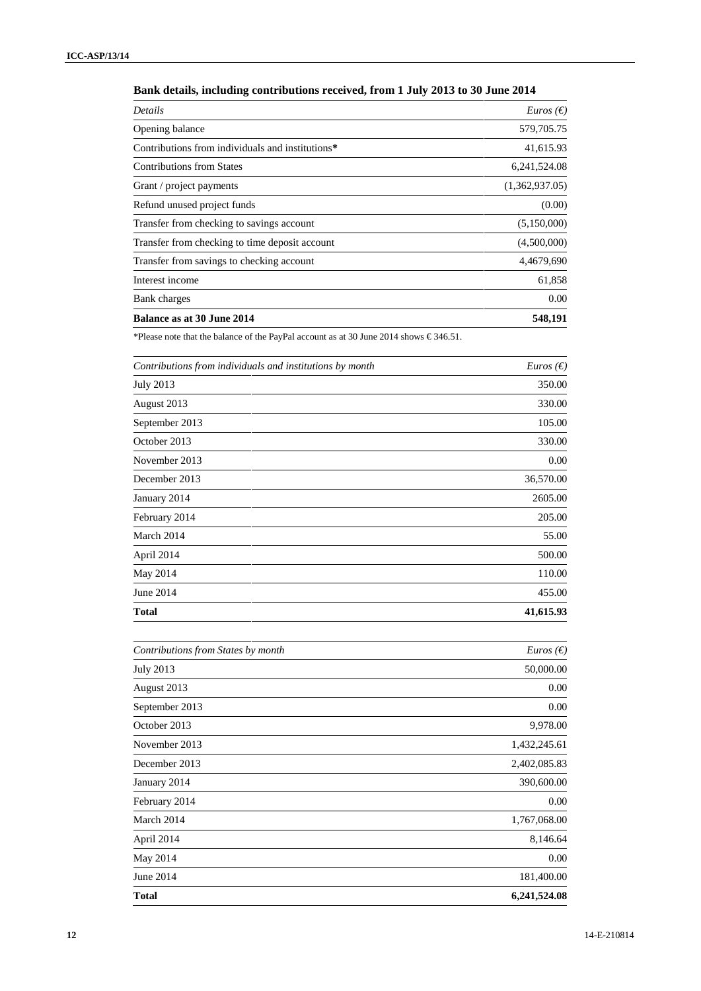| Details                                          | $Euros$ ( $\in$ ) |
|--------------------------------------------------|-------------------|
| Opening balance                                  | 579,705.75        |
| Contributions from individuals and institutions* | 41,615.93         |
| <b>Contributions from States</b>                 | 6,241,524.08      |
| Grant / project payments                         | (1,362,937.05)    |
| Refund unused project funds                      | (0.00)            |
| Transfer from checking to savings account        | (5,150,000)       |
| Transfer from checking to time deposit account   | (4,500,000)       |
| Transfer from savings to checking account        | 4,4679,690        |
| Interest income                                  | 61,858            |
| Bank charges                                     | 0.00              |
| <b>Balance as at 30 June 2014</b>                | 548,191           |

## **Bank details, including contributions received, from 1 July 2013 to 30 June 2014**

|                                                                                       | $Euros$ ( $\epsilon$ ) |  |
|---------------------------------------------------------------------------------------|------------------------|--|
| Opening balance                                                                       | 579,705.75             |  |
| Contributions from individuals and institutions*                                      | 41,615.93              |  |
| Contributions from States                                                             | 6,241,524.08           |  |
| Grant / project payments                                                              | (1,362,937.05)         |  |
| Refund unused project funds                                                           | (0.00)                 |  |
| Transfer from checking to savings account                                             | (5,150,000)            |  |
| Transfer from checking to time deposit account                                        | (4,500,000)            |  |
| Transfer from savings to checking account                                             | 4,4679,690             |  |
| Interest income                                                                       | 61,858                 |  |
| <b>Bank</b> charges                                                                   | 0.00                   |  |
| Balance as at 30 June 2014                                                            | 548,191                |  |
| *Please note that the balance of the PayPal account as at 30 June 2014 shows €346.51. |                        |  |
| Contributions from individuals and institutions by month                              | $Euros$ ( $\epsilon$ ) |  |
| <b>July 2013</b>                                                                      | 350.00                 |  |
| August 2013                                                                           | 330.00                 |  |
| September 2013                                                                        | 105.00                 |  |
| October 2013                                                                          | 330.00                 |  |
| November 2013                                                                         | $0.00\,$               |  |
| December 2013                                                                         | 36,570.00              |  |
| January 2014                                                                          | 2605.00                |  |
| February 2014                                                                         | 205.00                 |  |
| March 2014                                                                            | 55.00                  |  |
| April 2014                                                                            | 500.00                 |  |
| May 2014                                                                              | 110.00                 |  |
| June $2014$                                                                           | 455.00                 |  |
| <b>Total</b>                                                                          | 41,615.93              |  |
| Contributions from States by month                                                    | $Euros$ ( $\epsilon$ ) |  |
| <b>July 2013</b>                                                                      | 50,000.00              |  |
| August 2013                                                                           | $0.00\,$               |  |
| September 2013                                                                        | $0.00\,$               |  |
| October 2013                                                                          | 9,978.00               |  |
| November 2013                                                                         | 1,432,245.61           |  |
| December 2013                                                                         | 2,402,085.83           |  |
| January 2014                                                                          | 390,600.00             |  |
| February 2014                                                                         | $0.00\,$               |  |
| March 2014                                                                            | 1,767,068.00           |  |
| April 2014                                                                            | 8,146.64               |  |
| May 2014                                                                              | $0.00\,$               |  |
| June 2014                                                                             | 181,400.00             |  |
| <b>Total</b>                                                                          | 6,241,524.08           |  |

| Contributions from States by month | <i>Euros</i> $(\epsilon)$ |
|------------------------------------|---------------------------|
| July 2013                          | 50,000.00                 |
| August 2013                        | 0.00                      |
| September 2013                     | 0.00                      |
| October 2013                       | 9,978.00                  |
| November 2013                      | 1,432,245.61              |
| December 2013                      | 2,402,085.83              |
| January 2014                       | 390,600.00                |
| February 2014                      | 0.00                      |
| March 2014                         | 1,767,068.00              |
| April 2014                         | 8,146.64                  |
| May 2014                           | 0.00                      |
| June 2014                          | 181,400.00                |
| <b>Total</b>                       | 6,241,524.08              |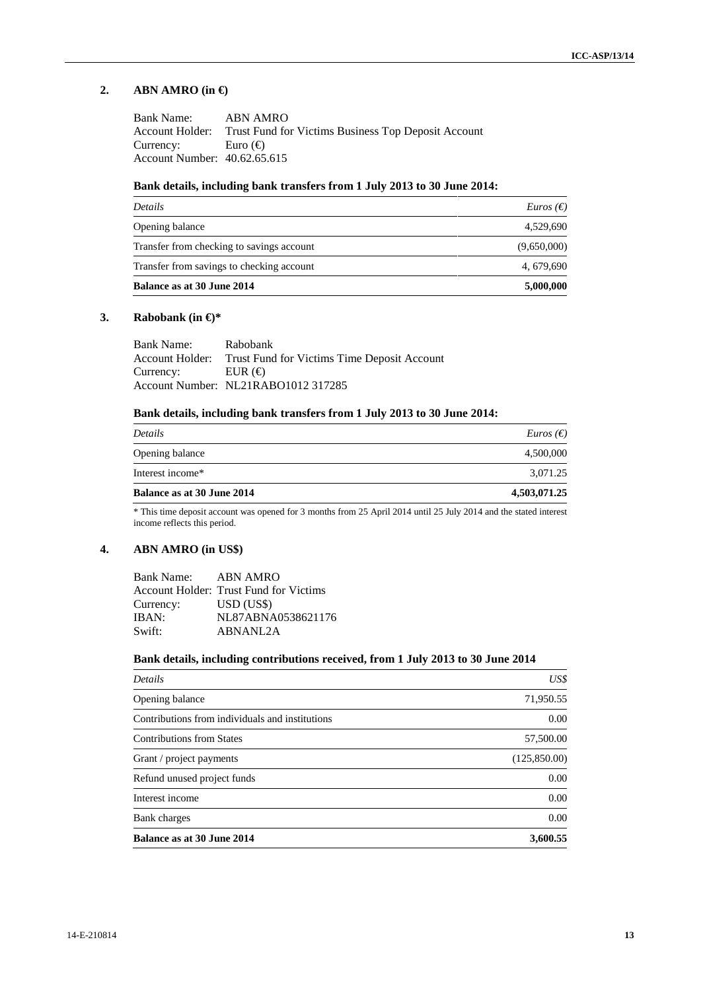### **2. ABN AMRO (in €)**

| Bank Name:                   | ABN AMRO                                                            |
|------------------------------|---------------------------------------------------------------------|
|                              | Account Holder: Trust Fund for Victims Business Top Deposit Account |
| Currency: Euro $(\epsilon)$  |                                                                     |
| Account Number: 40.62.65.615 |                                                                     |

#### **Bank details, including bank transfers from 1 July 2013 to 30 June 2014:**

| <b>Details</b>                            | <i>Euros</i> ( $\epsilon$ ) |
|-------------------------------------------|-----------------------------|
| Opening balance                           | 4,529,690                   |
| Transfer from checking to savings account | (9,650,000)                 |
| Transfer from savings to checking account | 4, 679, 690                 |
| <b>Balance as at 30 June 2014</b>         | 5,000,000                   |

#### **3. Rabobank (in €)\***

| Bank Name:              | Rabobank                                                    |
|-------------------------|-------------------------------------------------------------|
|                         | Account Holder: Trust Fund for Victims Time Deposit Account |
| Currency: $EUR(\theta)$ |                                                             |
|                         | Account Number: NL21RABO1012 317285                         |

#### **Bank details, including bank transfers from 1 July 2013 to 30 June 2014:**

| <b>Balance as at 30 June 2014</b> | 4,503,071.25                |
|-----------------------------------|-----------------------------|
| Interest income*                  | 3,071.25                    |
| Opening balance                   | 4,500,000                   |
| Details                           | <i>Euros</i> ( $\epsilon$ ) |

### **4. ABN AMRO (in US\$)**

| Bank Name: ABN AMRO |                                        |
|---------------------|----------------------------------------|
|                     | Account Holder: Trust Fund for Victims |
| Currency:           | USD (US\$)                             |
| IBAN:               | NL87ABNA0538621176                     |
| Swift:              | ABNANI 2A                              |

### **Bank details, including contributions received, from 1 July 2013 to 30 June 2014**

|    | <b>Bank Name:</b>                                            | <b>ABN AMRO</b>                                                                                                   |                           |
|----|--------------------------------------------------------------|-------------------------------------------------------------------------------------------------------------------|---------------------------|
|    | Account Holder:<br>Currency:<br>Account Number: 40.62.65.615 | Trust Fund for Victims Business Top Deposit Account<br>Euro $(\oplus)$                                            |                           |
|    |                                                              | Bank details, including bank transfers from 1 July 2013 to 30 June 2014:                                          |                           |
|    | Details                                                      |                                                                                                                   | $Euros$ ( $\epsilon$ )    |
|    | Opening balance                                              |                                                                                                                   | 4,529,690                 |
|    |                                                              | Transfer from checking to savings account                                                                         | (9,650,000)               |
|    |                                                              | Transfer from savings to checking account                                                                         | 4,679,690                 |
|    | Balance as at 30 June 2014                                   |                                                                                                                   | 5,000,000                 |
| 3. | Rabobank (in $\Theta^*$                                      |                                                                                                                   |                           |
|    | <b>Bank Name:</b><br>Account Holder:<br>Currency:            | Rabobank<br>Trust Fund for Victims Time Deposit Account<br>EUR $\in$<br>Account Number: NL21RABO1012 317285       |                           |
|    |                                                              | Bank details, including bank transfers from 1 July 2013 to 30 June 2014:                                          |                           |
|    |                                                              |                                                                                                                   | <i>Euros</i> $(\epsilon)$ |
|    | Details                                                      |                                                                                                                   |                           |
|    | Opening balance                                              |                                                                                                                   | 4,500,000                 |
|    | Interest income*                                             |                                                                                                                   | 3,071.25                  |
|    | Balance as at 30 June 2014                                   |                                                                                                                   | 4,503,071.25              |
|    |                                                              | * This time deposit account was opened for 3 months from 25 April 2014 until 25 July 2014 and the stated interest |                           |
|    | income reflects this period.                                 |                                                                                                                   |                           |
|    | <b>ABN AMRO (in US\$)</b>                                    |                                                                                                                   |                           |
|    | <b>Bank Name:</b>                                            | <b>ABN AMRO</b>                                                                                                   |                           |
|    | Currency:                                                    | Account Holder: Trust Fund for Victims<br>USD (USS)                                                               |                           |
|    | IBAN:                                                        | NL87ABNA0538621176                                                                                                |                           |
| 4. | Swift:                                                       | ABNANL2A                                                                                                          |                           |
|    |                                                              | Bank details, including contributions received, from 1 July 2013 to 30 June 2014                                  |                           |
|    | Details                                                      |                                                                                                                   | US\$                      |
|    | Opening balance                                              |                                                                                                                   | 71,950.55                 |
|    |                                                              | Contributions from individuals and institutions                                                                   | $0.00\,$                  |
|    | <b>Contributions from States</b>                             |                                                                                                                   | 57,500.00                 |
|    | Grant / project payments                                     |                                                                                                                   | (125, 850.00)             |
|    | Refund unused project funds                                  |                                                                                                                   | 0.00                      |
|    | Interest income                                              |                                                                                                                   | 0.00                      |
|    | <b>Bank</b> charges                                          |                                                                                                                   | $0.00\,$                  |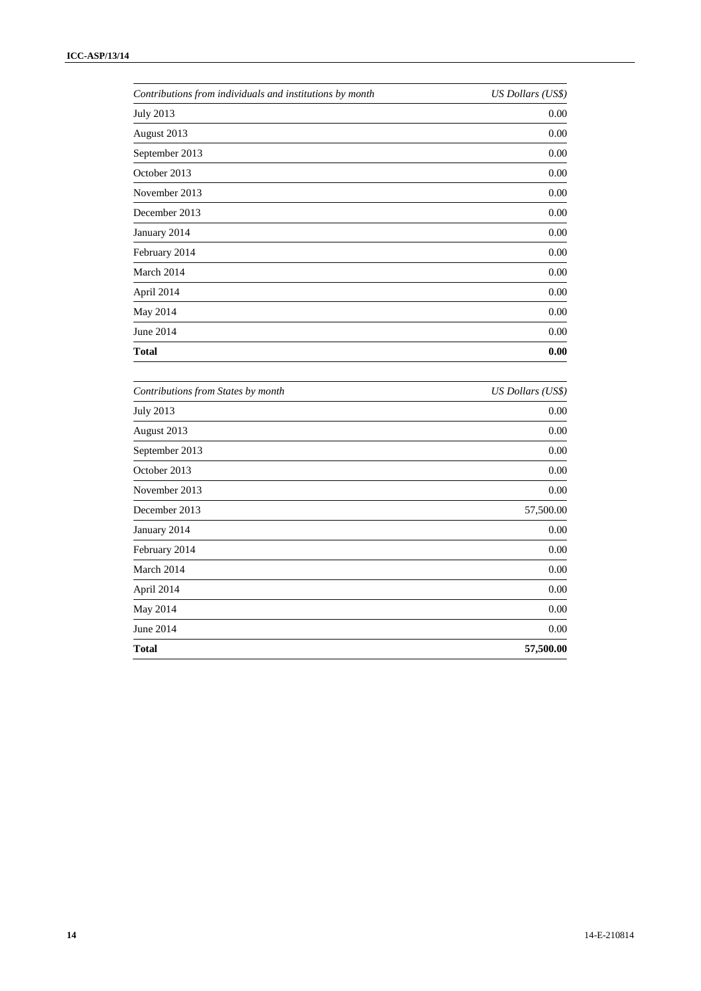| July 2013                          | <b>US Dollars (US\$)</b> |
|------------------------------------|--------------------------|
|                                    | $0.00\,$                 |
| August 2013                        | $0.00\,$                 |
| September 2013                     | $0.00\,$                 |
| October 2013                       | $0.00\,$                 |
| November 2013                      | $0.00\,$                 |
| December 2013                      | $0.00\,$                 |
| January 2014                       | $0.00\,$                 |
| February 2014                      | $0.00\,$                 |
| March 2014                         | $0.00\,$                 |
| April 2014                         | $0.00\,$                 |
| May 2014                           | $0.00\,$                 |
| June 2014                          | $0.00\,$                 |
| <b>Total</b>                       | $\boldsymbol{0.00}$      |
|                                    |                          |
| Contributions from States by month | <b>US Dollars (US\$)</b> |
| July 2013                          | $0.00\,$                 |
| August 2013                        | $0.00\,$                 |
| September 2013                     | $0.00\,$                 |
| October 2013                       | $0.00\,$                 |
| November 2013                      | $0.00\,$                 |
| December 2013                      | 57,500.00                |
| January 2014                       | $0.00\,$                 |
| February 2014                      | $0.00\,$                 |
| March 2014                         | $0.00\,$                 |
| April 2014                         | $0.00\,$                 |
| May 2014                           | $0.00\,$                 |
| June 2014                          | $0.00\,$                 |
| <b>Total</b>                       | 57,500.00                |

| 0.00      |
|-----------|
|           |
| 0.00      |
| 0.00      |
| 0.00      |
| 0.00      |
| 57,500.00 |
| 0.00      |
| 0.00      |
| 0.00      |
| 0.00      |
| 0.00      |
| 0.00      |
| 57,500.00 |
|           |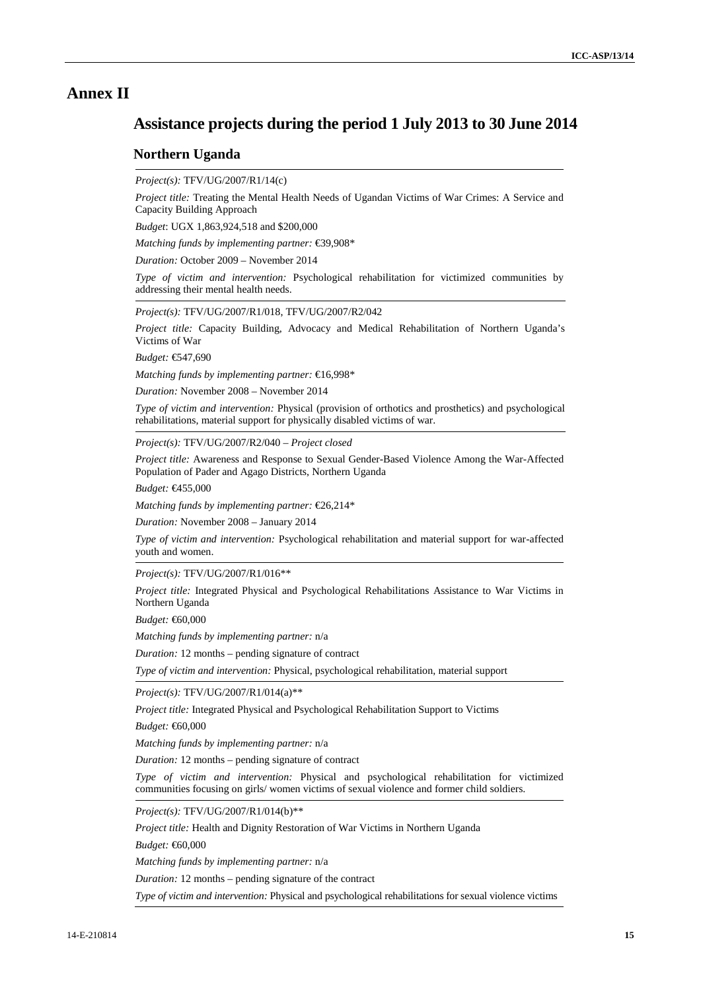### **Annex II**

### **Assistance projects during the period 1 July 2013 to 30 June 2014**

#### **Northern Uganda**

*Project(s):* TFV/UG/2007/R1/14(c)

**Amere II**<br>Assistance projects during the period 1 July 2013 to 30 June 2014<br>
Newthern Ugants and Transmitted Mathematical Newton Victorical Control of the forms A-Strain and<br>
region of Transmitted Mathematical Newton Uga *Project title:* Treating the Mental Health Needs of Ugandan Victims of War Crimes: A Service and Capacity Building Approach

*Budget*: UGX 1,863,924,518 and \$200,000

*Matching funds by implementing partner:* €39,908\*

*Duration:* October 2009 – November 2014

*Type of victim and intervention:* Psychological rehabilitation for victimized communities by addressing their mental health needs.

*Project(s):* TFV/UG/2007/R1/018, TFV/UG/2007/R2/042

*Project title:* Capacity Building, Advocacy and Medical Rehabilitation of Northern Uganda's Victims of War

*Budget:* €547,690

*Matching funds by implementing partner:* €16,998\*

*Duration:* November 2008 – November 2014

*Type of victim and intervention:* Physical (provision of orthotics and prosthetics) and psychological rehabilitations, material support for physically disabled victims of war.

*Project(s):* TFV/UG/2007/R2/040 – *Project closed*

*Project title:* Awareness and Response to Sexual Gender-Based Violence Among the War-Affected Population of Pader and Agago Districts, Northern Uganda

*Budget:* €455,000

*Matching funds by implementing partner:* €26,214\*

*Duration:* November 2008 – January 2014

*Type of victim and intervention:* Psychological rehabilitation and material support for war-affected youth and women.

*Project(s):* TFV/UG/2007/R1/016\*\*

*Project title:* Integrated Physical and Psychological Rehabilitations Assistance to War Victims in Northern Uganda

*Budget:* €60,000

*Matching funds by implementing partner:* n/a

*Duration:* 12 months – pending signature of contract

*Type of victim and intervention:* Physical, psychological rehabilitation, material support

*Project(s):* TFV/UG/2007/R1/014(a)\*\*

*Project title:* Integrated Physical and Psychological Rehabilitation Support to Victims

*Budget:* €60,000

*Matching funds by implementing partner:* n/a

*Duration:* 12 months – pending signature of contract

*Type of victim and intervention:* Physical and psychological rehabilitation for victimized communities focusing on girls/ women victims of sexual violence and former child soldiers.

*Project(s):* TFV/UG/2007/R1/014(b)\*\*

*Project title:* Health and Dignity Restoration of War Victims in Northern Uganda

*Budget:* €60,000

*Matching funds by implementing partner:* n/a

*Duration:* 12 months – pending signature of the contract

*Type of victim and intervention:* Physical and psychological rehabilitations for sexual violence victims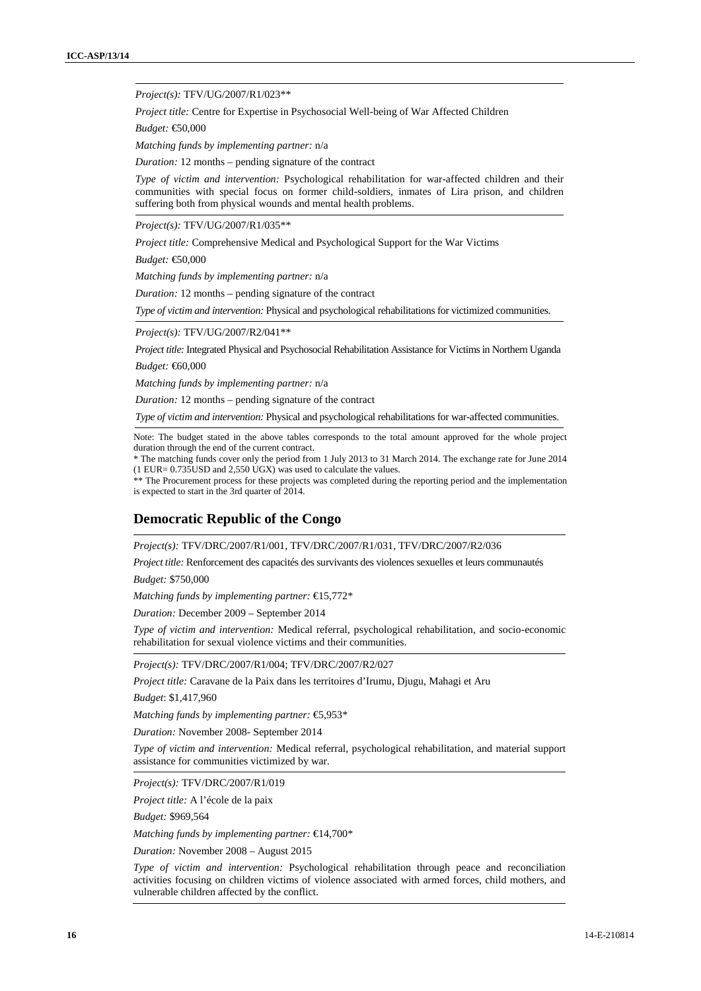*Project(s):* TFV/UG/2007/R1/023\*\*

*Project title:* Centre for Expertise in Psychosocial Well-being of War Affected Children

*Budget:* €0,000

*Matching funds by implementing partner:* n/a

*Duration:* 12 months – pending signature of the contract

**Fragments:** The Ville 200783, 1121<sup>1</sup><br>  $\Phi_{\text{GPE}}$  in the Fragments Constraint Willshein of We African Chine<br>
Fragments: Constant for Fragments parameters in the stationary and the stationary and the stationary of the st *Type of victim and intervention:* Psychological rehabilitation for war-affected children and their communities with special focus on former child-soldiers, inmates of Lira prison, and children suffering both from physical wounds and mental health problems.

*Project(s):* TFV/UG/2007/R1/035\*\*

*Project title:* Comprehensive Medical and Psychological Support for the War Victims

*Budget:* €50,000

*Matching funds by implementing partner:* n/a

*Duration:* 12 months – pending signature of the contract

*Type of victim and intervention:* Physical and psychological rehabilitations for victimized communities.

*Project(s):* TFV/UG/2007/R2/041\*\*

*Project title:* Integrated Physical and Psychosocial Rehabilitation Assistance for Victims in Northern Uganda *Budget:* €60,000

*Matching funds by implementing partner:* n/a

*Duration:* 12 months – pending signature of the contract

*Type of victim and intervention:* Physical and psychological rehabilitations for war-affected communities.

Note: The budget stated in the above tables corresponds to the total amount approved for the whole project duration through the end of the current contract.

\* The matching funds cover only the period from 1 July 2013 to 31 March 2014. The exchange rate for June 2014  $(1 \text{ EUR} = 0.735 \text{USD} \text{ and } 2,550 \text{ UGX})$  was used to calculate the values.

\*\* The Procurement process for these projects was completed during the reporting period and the implementation is expected to start in the 3rd quarter of 2014.

#### **Democratic Republic of the Congo**

*Project(s):* TFV/DRC/2007/R1/001, TFV/DRC/2007/R1/031, TFV/DRC/2007/R2/036

*Project title:* Renforcement des capacités des survivants des violences sexuelles et leurs communautés

*Budget:* \$750,000

*Matching funds by implementing partner:* €15,772\*

*Duration:* December 2009 – September 2014

*Type of victim and intervention:* Medical referral, psychological rehabilitation, and socio-economic rehabilitation for sexual violence victims and their communities.

*Project(s):* TFV/DRC/2007/R1/004; TFV/DRC/2007/R2/027

*Project title:* Caravane de la Paix dans les territoires d'Irumu, Djugu, Mahagi et Aru

*Budget*: \$1,417,960

*Matching funds by implementing partner:* €5,953\*

*Duration:* November 2008- September 2014

*Type of victim and intervention:* Medical referral, psychological rehabilitation, and material support assistance for communities victimized by war.

*Project(s):* TFV/DRC/2007/R1/019

*Project title:* A l'école de la paix

*Budget:* \$969,564

*Matching funds by implementing partner:* €14,700\*

*Duration:* November 2008 – August 2015

*Type of victim and intervention:* Psychological rehabilitation through peace and reconciliation activities focusing on children victims of violence associated with armed forces, child mothers, and vulnerable children affected by the conflict.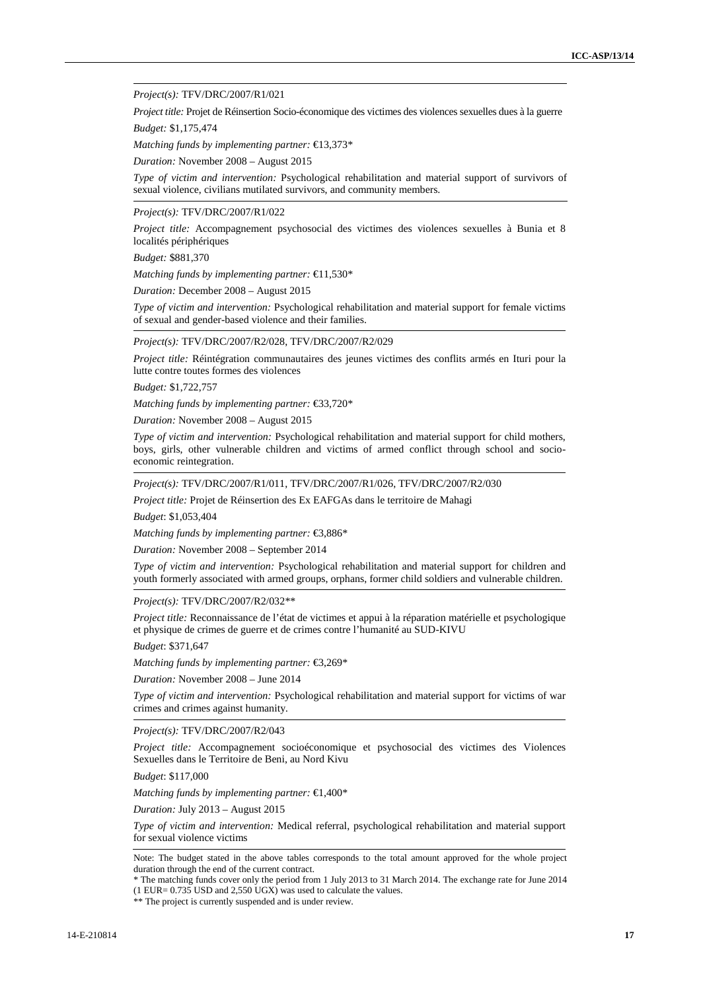#### *Project(s):* TFV/DRC/2007/R1/021

*Project title:* Projet de Réinsertion Socio-économique des victimes des violences sexuelles dues à la guerre

*Budget:* \$1,175,474

*Matching funds by implementing partner:* €13,373\*

*Duration:* November 2008 – August 2015

*Type of victim and intervention:* Psychological rehabilitation and material support of survivors of sexual violence, civilians mutilated survivors, and community members.

*Project(s):* TFV/DRC/2007/R1/022

*Project title:* Accompagnement psychosocial des victimes des violences sexuelles à Bunia et 8 localités périphériques

*Budget:* \$881,370

*Matching funds by implementing partner:* €11,530\*

*Duration:* December 2008 – August 2015

*Type of victim and intervention:* Psychological rehabilitation and material support for female victims of sexual and gender-based violence and their families.

#### *Project(s):* TFV/DRC/2007/R2/028, TFV/DRC/2007/R2/029

*Project title:* Réintégration communautaires des jeunes victimes des conflits armés en Ituri pour la lutte contre toutes formes des violences

*Budget:* \$1,722,757

*Matching funds by implementing partner:* €33,720\*

*Duration:* November 2008 – August 2015

Positions - 13 N-1200<br>C-2004 (2004)  $\Delta$  12 N-1200<br>  $\Delta$  Page 1704 (2004)  $\Delta$  F-2108 (2004)  $\Delta$  F-2108 (2004)  $\Delta$  F-2108 (2004)  $\Delta$  F-2108 (2004)  $\Delta$  F-2108 (2004)  $\Delta$  F-2108 (2004)  $\Delta$  F-2108 (2004)  $\Delta$  F-2108 (2 *Type of victim and intervention:* Psychological rehabilitation and material support for child mothers, boys, girls, other vulnerable children and victims of armed conflict through school and socio economic reintegration.

*Project(s):* TFV/DRC/2007/R1/011, TFV/DRC/2007/R1/026, TFV/DRC/2007/R2/030

*Project title:* Projet de Réinsertion des Ex EAFGAs dans le territoire de Mahagi

*Budget*: \$1,053,404

*Matching funds by implementing partner:* €3,886\*

*Duration:* November 2008 – September 2014

*Type of victim and intervention:* Psychological rehabilitation and material support for children and youth formerly associated with armed groups, orphans, former child soldiers and vulnerable children.

*Project(s):* TFV/DRC/2007/R2/032\*\*

*Project title:* Reconnaissance de l'état de victimes et appui à la réparation matérielle et psychologique et physique de crimes de guerre et de crimes contre l'humanité au SUD-KIVU

*Budget*: \$371,647

*Matching funds by implementing partner:* €3,269\*

*Duration:* November 2008 – June 2014

*Type of victim and intervention:* Psychological rehabilitation and material support for victims of war crimes and crimes against humanity*.*

#### *Project(s):* TFV/DRC/2007/R2/043

*Project title:* Accompagnement socioéconomique et psychosocial des victimes des Violences Sexuelles dans le Territoire de Beni, au Nord Kivu

*Budget*: \$117,000

*Matching funds by implementing partner:* €1,400\*

*Duration:* July 2013 – August 2015

*Type of victim and intervention:* Medical referral, psychological rehabilitation and material support for sexual violence victims

Note: The budget stated in the above tables corresponds to the total amount approved for the whole project duration through the end of the current contract.

\*\* The project is currently suspended and is under review.

<sup>\*</sup> The matching funds cover only the period from 1 July 2013 to 31 March 2014. The exchange rate for June 2014 (1 EUR= 0.735 USD and 2,550 UGX) was used to calculate the values.